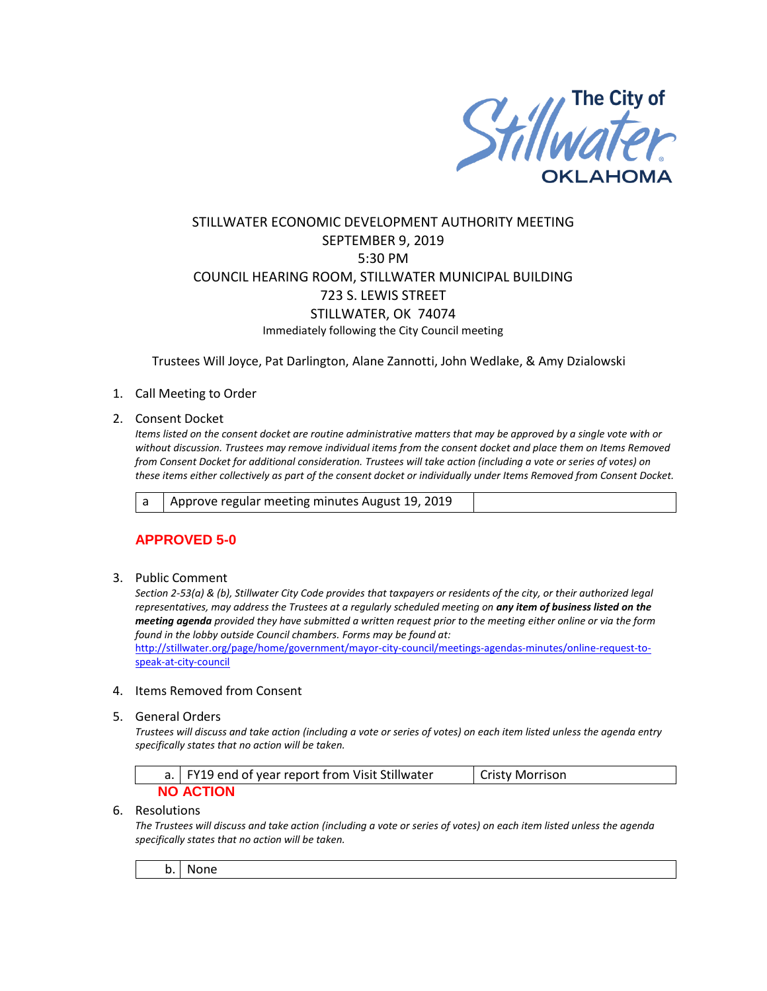

# STILLWATER ECONOMIC DEVELOPMENT AUTHORITY MEETING SEPTEMBER 9, 2019 5:30 PM COUNCIL HEARING ROOM, STILLWATER MUNICIPAL BUILDING 723 S. LEWIS STREET STILLWATER, OK 74074 Immediately following the City Council meeting

Trustees Will Joyce, Pat Darlington, Alane Zannotti, John Wedlake, & Amy Dzialowski

### 1. Call Meeting to Order

2. Consent Docket

*Items listed on the consent docket are routine administrative matters that may be approved by a single vote with or without discussion. Trustees may remove individual items from the consent docket and place them on Items Removed from Consent Docket for additional consideration. Trustees will take action (including a vote or series of votes) on these items either collectively as part of the consent docket or individually under Items Removed from Consent Docket.*

a | Approve regular meeting minutes August 19, 2019

## **APPROVED 5-0**

3. Public Comment

*Section 2-53(a) & (b), Stillwater City Code provides that taxpayers or residents of the city, or their authorized legal representatives, may address the Trustees at a regularly scheduled meeting on any item of business listed on the meeting agenda provided they have submitted a written request prior to the meeting either online or via the form found in the lobby outside Council chambers. Forms may be found at:* 

[http://stillwater.org/page/home/government/mayor-city-council/meetings-agendas-minutes/online-request-to](http://stillwater.org/page/home/government/mayor-city-council/meetings-agendas-minutes/online-request-to-speak-at-city-council)[speak-at-city-council](http://stillwater.org/page/home/government/mayor-city-council/meetings-agendas-minutes/online-request-to-speak-at-city-council)

#### 4. Items Removed from Consent

5. General Orders

*Trustees will discuss and take action (including a vote or series of votes) on each item listed unless the agenda entry specifically states that no action will be taken.*

|                  | a.   FY19 end of year report from Visit Stillwater | L Cristy Morrison |
|------------------|----------------------------------------------------|-------------------|
| <b>NO ACTION</b> |                                                    |                   |

#### 6. Resolutions

*The Trustees will discuss and take action (including a vote or series of votes) on each item listed unless the agenda specifically states that no action will be taken.*

b. None